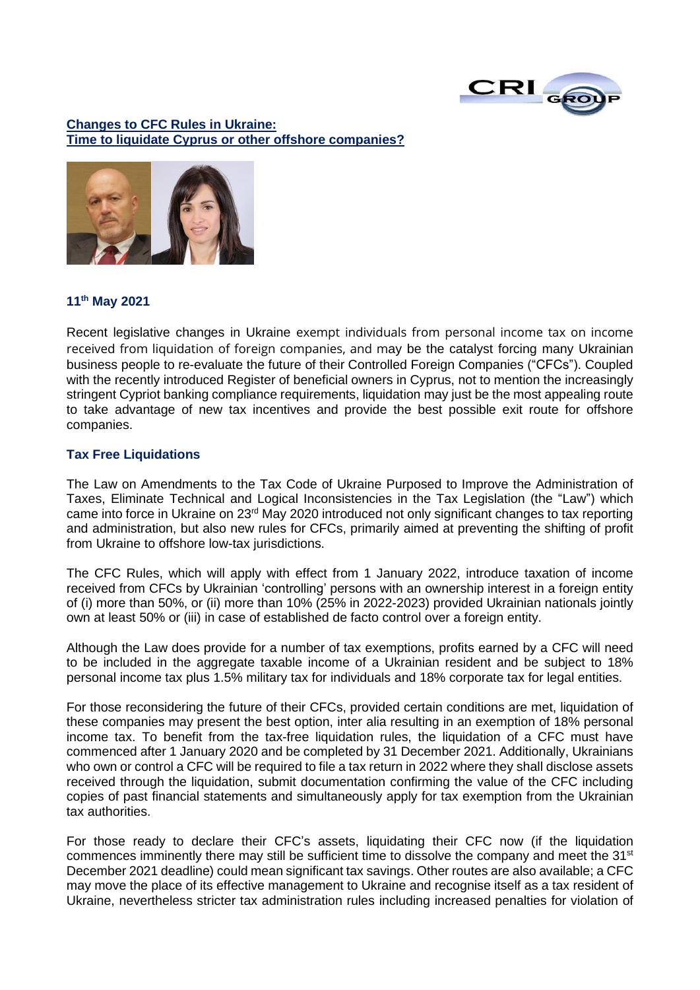

## **Changes to CFC Rules in Ukraine: Time to liquidate Cyprus or other offshore companies?**



#### **11th May 2021**

Recent legislative changes in Ukraine exempt individuals from personal income tax on income received from liquidation of foreign companies, and may be the catalyst forcing many Ukrainian business people to re-evaluate the future of their Controlled Foreign Companies ("CFCs"). Coupled with the recently introduced Register of beneficial owners in Cyprus, not to mention the increasingly stringent Cypriot banking compliance requirements, liquidation may just be the most appealing route to take advantage of new tax incentives and provide the best possible exit route for offshore companies.

## **Tax Free Liquidations**

The Law on Amendments to the Tax Code of Ukraine Purposed to Improve the Administration of Taxes, Eliminate Technical and Logical Inconsistencies in the Tax Legislation (the "Law") which came into force in Ukraine on 23rd May 2020 introduced not only significant changes to tax reporting and administration, but also new rules for CFCs, primarily aimed at preventing the shifting of profit from Ukraine to offshore low-tax jurisdictions.

The CFC Rules, which will apply with effect from 1 January 2022, introduce taxation of income received from CFCs by Ukrainian 'controlling' persons with an ownership interest in a foreign entity of (i) more than 50%, or (ii) more than 10% (25% in 2022-2023) provided Ukrainian nationals jointly own at least 50% or (iii) in case of established de facto control over a foreign entity.

Although the Law does provide for a number of tax exemptions, profits earned by a CFC will need to be included in the aggregate taxable income of a Ukrainian resident and be subject to 18% personal income tax plus 1.5% military tax for individuals and 18% corporate tax for legal entities.

For those reconsidering the future of their CFCs, provided certain conditions are met, liquidation of these companies may present the best option, inter alia resulting in an exemption of 18% personal income tax. To benefit from the tax-free liquidation rules, the liquidation of a CFC must have commenced after 1 January 2020 and be completed by 31 December 2021. Additionally, Ukrainians who own or control a CFC will be required to file a tax return in 2022 where they shall disclose assets received through the liquidation, submit documentation confirming the value of the CFC including copies of past financial statements and simultaneously apply for tax exemption from the Ukrainian tax authorities.

For those ready to declare their CFC's assets, liquidating their CFC now (if the liquidation commences imminently there may still be sufficient time to dissolve the company and meet the 31<sup>st</sup> December 2021 deadline) could mean significant tax savings. Other routes are also available; a CFC may move the place of its effective management to Ukraine and recognise itself as a tax resident of Ukraine, nevertheless stricter tax administration rules including increased penalties for violation of